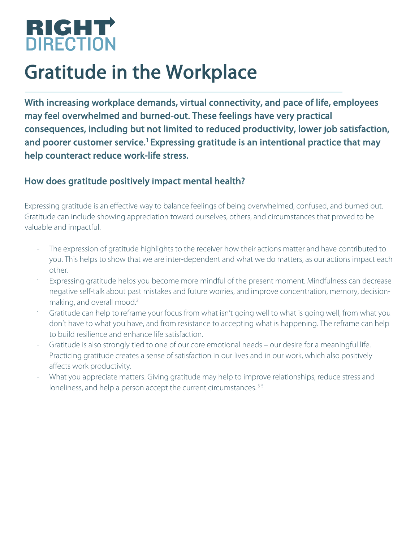

## Gratitude in the Workplace

With increasing workplace demands, virtual connectivity, and pace of life, employees may feel overwhelmed and burned-out. These feelings have very practical consequences, including but not limited to reduced productivity, lower job satisfaction, and poorer customer service.<sup>1</sup> Expressing gratitude is an intentional practice that may help counteract reduce work-life stress.

## How does gratitude positively impact mental health?

Expressing gratitude is an effective way to balance feelings of being overwhelmed, confused, and burned out. Gratitude can include showing appreciation toward ourselves, others, and circumstances that proved to be valuable and impactful.

- The expression of gratitude highlights to the receiver how their actions matter and have contributed to you. This helps to show that we are inter-dependent and what we do matters, as our actions impact each other.
- Expressing gratitude helps you become more mindful of the present moment. Mindfulness can decrease negative self-talk about past mistakes and future worries, and improve concentration, memory, decisionmaking, and overall mood.<sup>2</sup>
- Gratitude can help to reframe your focus from what isn't going well to what is going well, from what you don't have to what you have, and from resistance to accepting what is happening. The reframe can help to build resilience and enhance life satisfaction.
- Gratitude is also strongly tied to one of our core emotional needs our desire for a meaningful life. Practicing gratitude creates a sense of satisfaction in our lives and in our work, which also positively affects work productivity.
- What you appreciate matters. Giving gratitude may help to improve relationships, reduce stress and loneliness, and help a person accept the current circumstances.<sup>3-5</sup>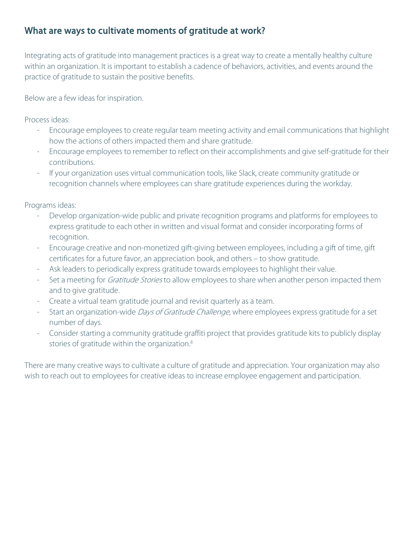## What are ways to cultivate moments of gratitude at work?

Integrating acts of gratitude into management practices is a great way to create a mentally healthy culture within an organization. It is important to establish a cadence of behaviors, activities, and events around the practice of gratitude to sustain the positive benefits.

Below are a few ideas for inspiration.

Process ideas:

- Encourage employees to create regular team meeting activity and email communications that highlight how the actions of others impacted them and share gratitude.
- Encourage employees to remember to reflect on their accomplishments and give self-gratitude for their contributions.
- If your organization uses virtual communication tools, like Slack, create community gratitude or recognition channels where employees can share gratitude experiences during the workday.

Programs ideas:

- Develop organization-wide public and private recognition programs and platforms for employees to express gratitude to each other in written and visual format and consider incorporating forms of recognition.
- Encourage creative and non-monetized gift-giving between employees, including a gift of time, gift certificates for a future favor, an appreciation book, and others – to show gratitude.
- Ask leaders to periodically express gratitude towards employees to highlight their value.
- Set a meeting for *Gratitude Stories* to allow employees to share when another person impacted them and to give gratitude.
- Create a virtual team gratitude journal and revisit quarterly as a team.
- Start an organization-wide Days of Gratitude Challenge, where employees express gratitude for a set number of days.
- Consider starting a community gratitude graffiti project that provides gratitude kits to publicly display stories of gratitude within the organization. 8

There are many creative ways to cultivate a culture of gratitude and appreciation. Your organization may also wish to reach out to employees for creative ideas to increase employee engagement and participation.